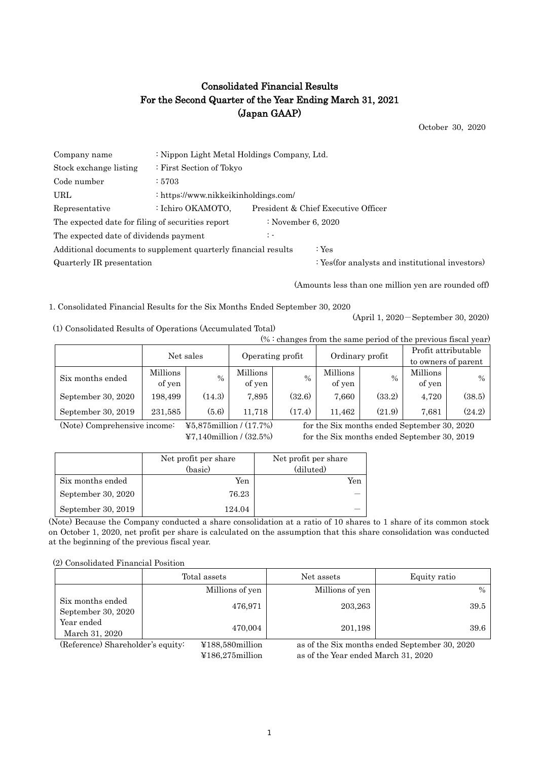# Consolidated Financial Results For the Second Quarter of the Year Ending March 31, 2021 (Japan GAAP)

October 30, 2020

| Company name                                                   | : Nippon Light Metal Holdings Company, Ltd. |                    |                                                  |
|----------------------------------------------------------------|---------------------------------------------|--------------------|--------------------------------------------------|
| Stock exchange listing                                         | : First Section of Tokyo                    |                    |                                                  |
| Code number                                                    | :5703                                       |                    |                                                  |
| URL                                                            | : https://www.nikkeikinholdings.com/        |                    |                                                  |
| Representative                                                 | : Ichiro OKAMOTO,                           |                    | President & Chief Executive Officer              |
| The expected date for filing of securities report              |                                             | : November 6, 2020 |                                                  |
| The expected date of dividends payment                         |                                             | $\mathcal{L}$      |                                                  |
| Additional documents to supplement quarterly financial results |                                             |                    | : $Yes$                                          |
| Quarterly IR presentation                                      |                                             |                    | : Yes (for analysts and institutional investors) |

(Amounts less than one million yen are rounded off)

1. Consolidated Financial Results for the Six Months Ended September 30, 2020

(1) Consolidated Results of Operations (Accumulated Total)

 $(% : \text{changes from the same period of the previous fixed year})$ 

(April 1, 2020-September 30, 2020)

| $\sqrt{20}$ . Changes from the same period of the previous fiscal vear. |                    |        |                    |               |                    |               |                     |        |
|-------------------------------------------------------------------------|--------------------|--------|--------------------|---------------|--------------------|---------------|---------------------|--------|
|                                                                         | Net sales          |        | Operating profit   |               | Ordinary profit    |               | Profit attributable |        |
|                                                                         |                    |        |                    |               |                    |               | to owners of parent |        |
| Six months ended                                                        | Millions<br>of yen | $\%$   | Millions<br>of yen | $\frac{0}{0}$ | Millions<br>of yen | $\frac{0}{0}$ | Millions<br>of yen  | $\%$   |
| September 30, 2020                                                      | 198,499            | (14.3) | 7,895              | (32.6)        | 7,660              | (33.2)        | 4,720               | (38.5) |
| September 30, 2019                                                      | 231,585            | (5.6)  | 11.718             | (17.4)        | 11.462             | (21.9)        | 7,681               | (24.2) |

(Note) Comprehensive income: ¥5,875million / (17.7%) for the Six months ended September 30, 2020

 $\text{\textsterling}7,140$ million / (32.5%) for the Six months ended September 30, 2019

|                    | Net profit per share<br>(basic) | Net profit per share<br>(diluted) |
|--------------------|---------------------------------|-----------------------------------|
| Six months ended   | Yen                             | Yen                               |
| September 30, 2020 | 76.23                           |                                   |
| September 30, 2019 | 124.04                          |                                   |

(Note) Because the Company conducted a share consolidation at a ratio of 10 shares to 1 share of its common stock on October 1, 2020, net profit per share is calculated on the assumption that this share consolidation was conducted at the beginning of the previous fiscal year.

(2) Consolidated Financial Position

|                                        | Total assets                            | Net assets      | Equity ratio                                  |  |
|----------------------------------------|-----------------------------------------|-----------------|-----------------------------------------------|--|
|                                        | Millions of yen                         | Millions of yen | $\%$                                          |  |
| Six months ended<br>September 30, 2020 | 476,971                                 | 203,263         | 39.5                                          |  |
| Year ended<br>March 31, 2020           | 470,004                                 | 201,198         | 39.6                                          |  |
| (Reference) Shareholder's equity:      | $\text{\textsterling}188,\!580$ million |                 | as of the Six months ended September 30, 2020 |  |

¥186,275million as of the Year ended March 31, 2020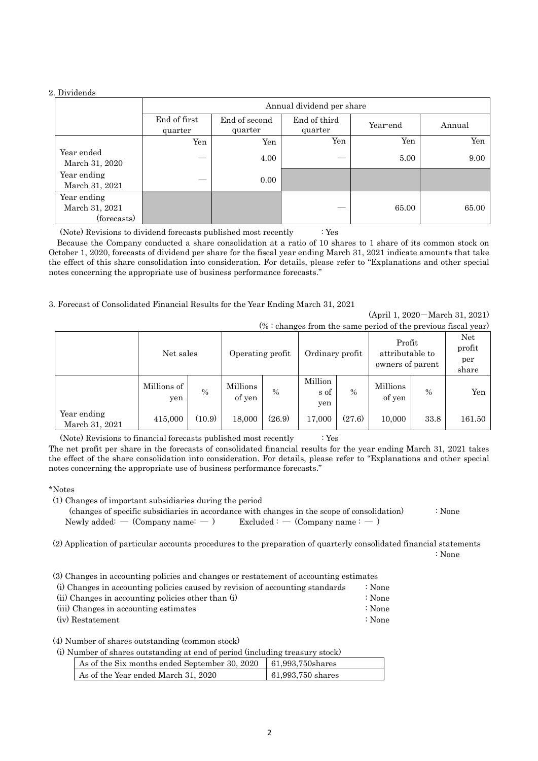#### 2. Dividends

|                                              |                         | Annual dividend per share |                         |          |        |  |  |  |
|----------------------------------------------|-------------------------|---------------------------|-------------------------|----------|--------|--|--|--|
|                                              | End of first<br>quarter | End of second<br>quarter  | End of third<br>quarter | Year-end | Annual |  |  |  |
|                                              | Yen                     | Yen                       | Yen                     | Yen      | Yen    |  |  |  |
| Year ended<br>March 31, 2020                 |                         | 4.00                      |                         | 5.00     | 9.00   |  |  |  |
| Year ending<br>March 31, 2021                |                         | $0.00\,$                  |                         |          |        |  |  |  |
| Year ending<br>March 31, 2021<br>(forecasts) |                         |                           |                         | 65.00    | 65.00  |  |  |  |

(Note) Revisions to dividend forecasts published most recently : Yes

 Because the Company conducted a share consolidation at a ratio of 10 shares to 1 share of its common stock on October 1, 2020, forecasts of dividend per share for the fiscal year ending March 31, 2021 indicate amounts that take the effect of this share consolidation into consideration. For details, please refer to "Explanations and other special notes concerning the appropriate use of business performance forecasts."

### 3. Forecast of Consolidated Financial Results for the Year Ending March 31, 2021

(April 1, 2020-March 31, 2021)  $(% : \alpha \rightarrow \alpha)$  changes from the same period of the previous fiscal year)

| $\sqrt{2}$ . Changes from the same period of the previous fiscal year. |                    |               |                    |               |                        |        |                                               |               |                               |
|------------------------------------------------------------------------|--------------------|---------------|--------------------|---------------|------------------------|--------|-----------------------------------------------|---------------|-------------------------------|
|                                                                        | Net sales          |               | Operating profit   |               | Ordinary profit        |        | Profit<br>attributable to<br>owners of parent |               | Net<br>profit<br>per<br>share |
|                                                                        | Millions of<br>yen | $\frac{0}{0}$ | Millions<br>of yen | $\frac{0}{0}$ | Million<br>s of<br>yen | $\%$   | Millions<br>of yen                            | $\frac{0}{0}$ | Yen                           |
| Year ending<br>March 31, 2021                                          | 415,000            | (10.9)        | 18,000             | (26.9)        | 17,000                 | (27.6) | 10,000                                        | 33.8          | 161.50                        |

(Note) Revisions to financial forecasts published most recently : Yes

The net profit per share in the forecasts of consolidated financial results for the year ending March 31, 2021 takes the effect of the share consolidation into consideration. For details, please refer to "Explanations and other special notes concerning the appropriate use of business performance forecasts."

#### \*Notes

(1) Changes of important subsidiaries during the period

|                                       | (changes of specific subsidiaries in accordance with changes in the scope of consolidation) | $\therefore$ None |
|---------------------------------------|---------------------------------------------------------------------------------------------|-------------------|
| Newly added: $-$ (Company name: $-$ ) | $\text{Excluded}:$ $\sim$ (Company name : $\sim$ )                                          |                   |

(2) Application of particular accounts procedures to the preparation of quarterly consolidated financial statements : None

(3) Changes in accounting policies and changes or restatement of accounting estimates

| (i) Changes in accounting policies caused by revision of accounting standards | ∶ None |
|-------------------------------------------------------------------------------|--------|
| (ii) Changes in accounting policies other than (i)                            | : None |
| (iii) Changes in accounting estimates                                         | ∶ None |
| (iv) Restatement                                                              | ∶ None |

(4) Number of shares outstanding (common stock)

(i) Number of shares outstanding at end of period (including treasury stock)

| As of the Six months ended September 30, 2020 $\mid$ 61,993,750 shares |                     |
|------------------------------------------------------------------------|---------------------|
| As of the Year ended March 31, 2020                                    | $61,993,750$ shares |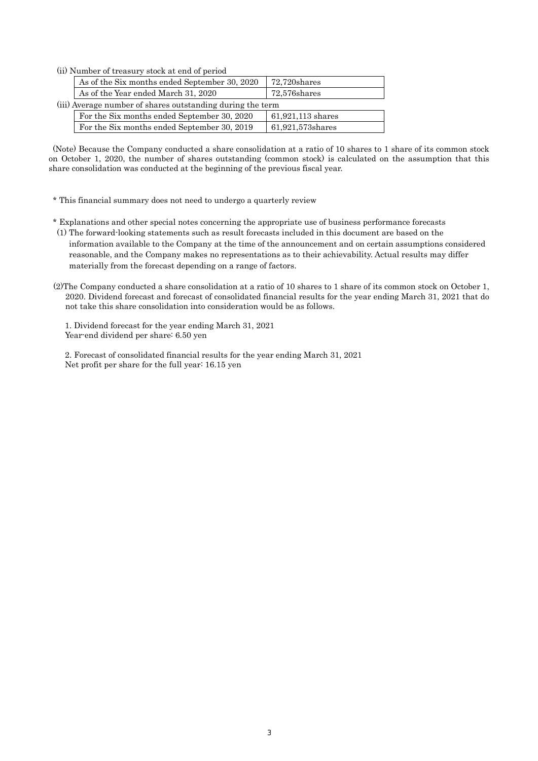(ii) Number of treasury stock at end of period

|                                                            | As of the Six months ended September 30, 2020 | $72,720$ shares     |  |  |
|------------------------------------------------------------|-----------------------------------------------|---------------------|--|--|
|                                                            | As of the Year ended March 31, 2020           | $72.576$ shares     |  |  |
| (iii) Average number of shares outstanding during the term |                                               |                     |  |  |
|                                                            | For the Six months ended September 30, 2020   | $61,921,113$ shares |  |  |
| For the Six months ended September 30, 2019                |                                               | 61,921,573 shares   |  |  |

(Note) Because the Company conducted a share consolidation at a ratio of 10 shares to 1 share of its common stock on October 1, 2020, the number of shares outstanding (common stock) is calculated on the assumption that this share consolidation was conducted at the beginning of the previous fiscal year.

- \* This financial summary does not need to undergo a quarterly review
- \* Explanations and other special notes concerning the appropriate use of business performance forecasts
- (1) The forward-looking statements such as result forecasts included in this document are based on the information available to the Company at the time of the announcement and on certain assumptions considered reasonable, and the Company makes no representations as to their achievability. Actual results may differ materially from the forecast depending on a range of factors.
- (2)The Company conducted a share consolidation at a ratio of 10 shares to 1 share of its common stock on October 1, 2020. Dividend forecast and forecast of consolidated financial results for the year ending March 31, 2021 that do not take this share consolidation into consideration would be as follows.

1. Dividend forecast for the year ending March 31, 2021 Year-end dividend per share: 6.50 yen

2. Forecast of consolidated financial results for the year ending March 31, 2021 Net profit per share for the full year: 16.15 yen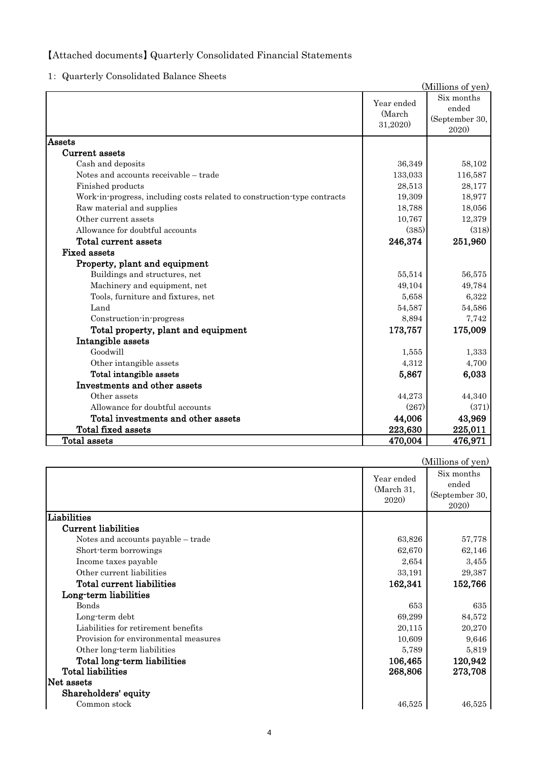### 【Attached documents】 Quarterly Consolidated Financial Statements

1: Quarterly Consolidated Balance Sheets

|                                                                          |                                  | (Millions of yen)                              |
|--------------------------------------------------------------------------|----------------------------------|------------------------------------------------|
|                                                                          | Year ended<br>(March<br>31,2020) | Six months<br>ended<br>(September 30,<br>2020) |
| Assets                                                                   |                                  |                                                |
| Current assets                                                           |                                  |                                                |
| Cash and deposits                                                        | 36,349                           | 58,102                                         |
| Notes and accounts receivable - trade                                    | 133,033                          | 116,587                                        |
| Finished products                                                        | 28,513                           | 28,177                                         |
| Work-in-progress, including costs related to construction-type contracts | 19,309                           | 18,977                                         |
| Raw material and supplies                                                | 18,788                           | 18,056                                         |
| Other current assets                                                     | 10,767                           | 12,379                                         |
| Allowance for doubtful accounts                                          | (385)                            | (318)                                          |
| <b>Total current assets</b>                                              | 246,374                          | 251,960                                        |
| <b>Fixed assets</b>                                                      |                                  |                                                |
| Property, plant and equipment                                            |                                  |                                                |
| Buildings and structures, net                                            | 55,514                           | 56,575                                         |
| Machinery and equipment, net                                             | 49,104                           | 49,784                                         |
| Tools, furniture and fixtures, net                                       | 5,658                            | 6,322                                          |
| Land                                                                     | 54,587                           | 54,586                                         |
| Construction-in-progress                                                 | 8,894                            | 7,742                                          |
| Total property, plant and equipment                                      | 173,757                          | 175,009                                        |
| Intangible assets                                                        |                                  |                                                |
| Goodwill                                                                 | 1,555                            | 1,333                                          |
| Other intangible assets                                                  | 4,312                            | 4,700                                          |
| Total intangible assets                                                  | 5,867                            | 6,033                                          |
| Investments and other assets                                             |                                  |                                                |
| Other assets                                                             | 44,273                           | 44,340                                         |
| Allowance for doubtful accounts                                          | (267)                            | (371)                                          |
| Total investments and other assets                                       | 44,006                           | 43,969                                         |
| <b>Total fixed assets</b>                                                | 223,630                          | 225,011                                        |
| Total assets                                                             | 470,004                          | 476,971                                        |

|                                      |                                         | (Millions of yen)                                    |
|--------------------------------------|-----------------------------------------|------------------------------------------------------|
|                                      | Year ended<br>(March 31,<br><b>2020</b> | Six months<br>ended<br>(September 30,<br><b>2020</b> |
| Liabilities                          |                                         |                                                      |
| Current liabilities                  |                                         |                                                      |
| Notes and accounts payable – trade   | 63,826                                  | 57,778                                               |
| Short-term borrowings                | 62,670                                  | 62,146                                               |
| Income taxes payable                 | 2,654                                   | 3,455                                                |
| Other current liabilities            | 33,191                                  | 29,387                                               |
| Total current liabilities            | 162,341                                 | 152,766                                              |
| Long-term liabilities                |                                         |                                                      |
| <b>Bonds</b>                         | 653                                     | 635                                                  |
| Long-term debt                       | 69,299                                  | 84,572                                               |
| Liabilities for retirement benefits  | 20,115                                  | 20,270                                               |
| Provision for environmental measures | 10,609                                  | 9,646                                                |
| Other long-term liabilities          | 5,789                                   | 5,819                                                |
| Total long-term liabilities          | 106,465                                 | 120,942                                              |
| <b>Total liabilities</b>             | 268,806                                 | 273,708                                              |
| Net assets                           |                                         |                                                      |
| Shareholders' equity                 |                                         |                                                      |
| Common stock                         | 46,525                                  | 46,525                                               |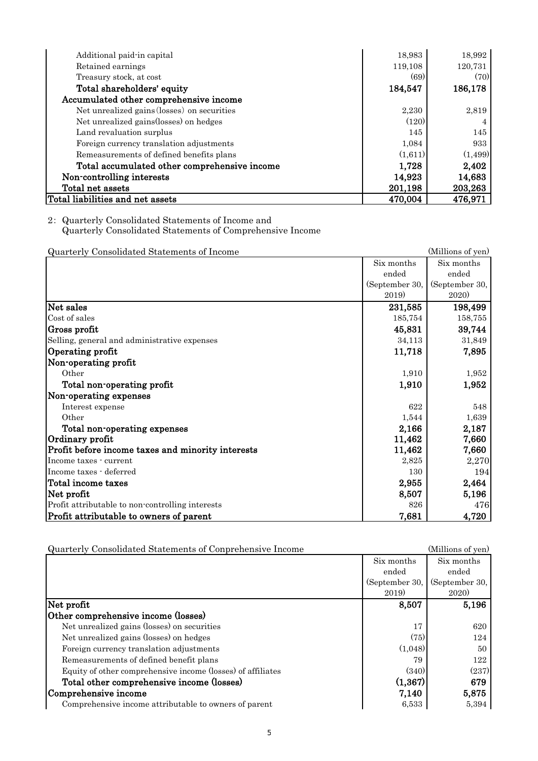| Additional paid-in capital                   | 18,983  | 18,992  |
|----------------------------------------------|---------|---------|
| Retained earnings                            | 119,108 | 120,731 |
| Treasury stock, at cost                      | (69)    | (70)    |
| Total shareholders' equity                   | 184,547 | 186,178 |
| Accumulated other comprehensive income       |         |         |
| Net unrealized gains (losses) on securities  | 2,230   | 2,819   |
| Net unrealized gains(losses) on hedges       | (120)   |         |
| Land revaluation surplus                     | 145     | 145     |
| Foreign currency translation adjustments     | 1,084   | 933     |
| Remeasurements of defined benefits plans     | (1,611) | (1,499) |
| Total accumulated other comprehensive income | 1,728   | 2,402   |
| Non-controlling interests                    | 14,923  | 14,683  |
| Total net assets                             | 201,198 | 203,263 |
| Total liabilities and net assets             | 470,004 | 476,971 |

2: Quarterly Consolidated Statements of Income and Quarterly Consolidated Statements of Comprehensive Income

| Quarterly Consolidated Statements of Income       |                | (Millions of yen) |
|---------------------------------------------------|----------------|-------------------|
|                                                   | Six months     | Six months        |
|                                                   | ended          | ended             |
|                                                   | (September 30, | (September 30,    |
|                                                   | 2019)          | <b>2020</b>       |
| Net sales                                         | 231,585        | 198,499           |
| Cost of sales                                     | 185,754        | 158,755           |
| $ {\rm Gross\,\,profit} $                         | 45,831         | 39,744            |
| Selling, general and administrative expenses      | 34,113         | 31,849            |
| Operating profit                                  | 11,718         | 7,895             |
| Non-operating profit                              |                |                   |
| Other                                             | 1,910          | 1,952             |
| Total non-operating profit                        | 1,910          | 1,952             |
| Non-operating expenses                            |                |                   |
| Interest expense                                  | 622            | 548               |
| Other                                             | 1,544          | 1,639             |
| Total non-operating expenses                      | 2,166          | 2,187             |
| Ordinary profit                                   | 11,462         | 7,660             |
| Profit before income taxes and minority interests | 11,462         | 7,660             |
| Income taxes - current                            | 2,825          | 2,270             |
| Income taxes - deferred                           | 130            | 194               |
| Total income taxes                                | 2,955          | 2,464             |
| Net profit                                        | 8,507          | 5,196             |
| Profit attributable to non-controlling interests  | 826            | 476               |
| Profit attributable to owners of parent           | 7,681          | 4,720             |

| Quarterly Consolidated Statements of Conprehensive Income   |                | (Millions of yen) |
|-------------------------------------------------------------|----------------|-------------------|
|                                                             | Six months     | Six months        |
|                                                             | ended          | ended             |
|                                                             | (September 30, | (September 30,    |
|                                                             | 2019)          | <b>2020</b>       |
| Net profit                                                  | 8,507          | 5,196             |
| Other comprehensive income (losses)                         |                |                   |
| Net unrealized gains (losses) on securities                 | 17             | 620               |
| Net unrealized gains (losses) on hedges                     | (75)           | 124               |
| Foreign currency translation adjustments                    | (1,048)        | 50                |
| Remeasurements of defined benefit plans                     | 79             | 122               |
| Equity of other comprehensive income (losses) of affiliates | (340)          | (237)             |
| Total other comprehensive income (losses)                   | (1, 367)       | 679               |
| Comprehensive income                                        | 7,140          | 5,875             |
| Comprehensive income attributable to owners of parent       | 6,533          | 5,394             |